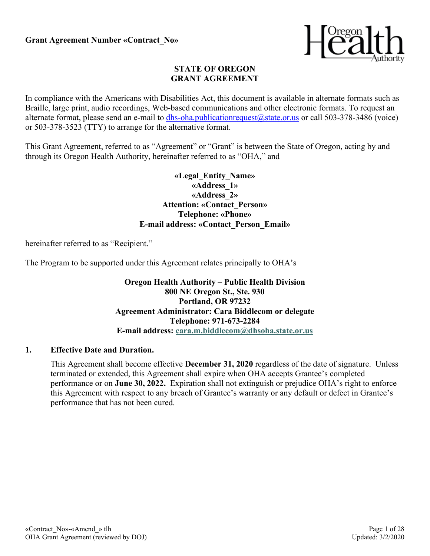

#### **STATE OF OREGON GRANT AGREEMENT**

In compliance with the Americans with Disabilities Act, this document is available in alternate formats such as Braille, large print, audio recordings, Web-based communications and other electronic formats. To request an alternate format, please send an e-mail to [dhs-oha.publicationrequest@state.or.us](mailto:dhs-oha.publicationrequest@state.or.us) or call 503-378-3486 (voice) or 503-378-3523 (TTY) to arrange for the alternative format.

This Grant Agreement, referred to as "Agreement" or "Grant" is between the State of Oregon, acting by and through its Oregon Health Authority, hereinafter referred to as "OHA," and

> **«Legal\_Entity\_Name» «Address\_1» «Address\_2» Attention: «Contact\_Person» Telephone: «Phone» E-mail address: «Contact\_Person\_Email»**

hereinafter referred to as "Recipient."

The Program to be supported under this Agreement relates principally to OHA's

**Oregon Health Authority – Public Health Division 800 NE Oregon St., Ste. 930 Portland, OR 97232 Agreement Administrator: Cara Biddlecom or delegate Telephone: 971-673-2284 E-mail address: [cara.m.biddlecom@dhsoha.state.or.us](mailto:cara.m.biddlecom@dhsoha.state.or.us)**

#### **1. Effective Date and Duration.**

This Agreement shall become effective **December 31, 2020** regardless of the date of signature. Unless terminated or extended, this Agreement shall expire when OHA accepts Grantee's completed performance or on **June 30, 2022.** Expiration shall not extinguish or prejudice OHA's right to enforce this Agreement with respect to any breach of Grantee's warranty or any default or defect in Grantee's performance that has not been cured.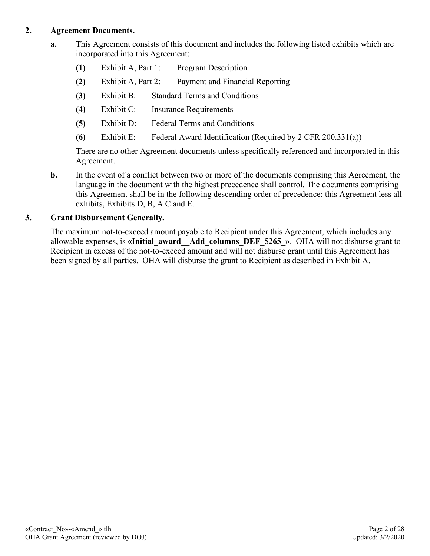### **2. Agreement Documents.**

- **a.** This Agreement consists of this document and includes the following listed exhibits which are incorporated into this Agreement:
	- **(1)** Exhibit A, Part 1: Program Description
	- **(2)** Exhibit A, Part 2: Payment and Financial Reporting
	- **(3)** Exhibit B: Standard Terms and Conditions
	- **(4)** Exhibit C: Insurance Requirements
	- **(5)** Exhibit D: Federal Terms and Conditions
	- **(6)** Exhibit E: Federal Award Identification (Required by 2 CFR 200.331(a))

There are no other Agreement documents unless specifically referenced and incorporated in this Agreement.

**b.** In the event of a conflict between two or more of the documents comprising this Agreement, the language in the document with the highest precedence shall control. The documents comprising this Agreement shall be in the following descending order of precedence: this Agreement less all exhibits, Exhibits D, B, A C and E.

## **3. Grant Disbursement Generally.**

The maximum not-to-exceed amount payable to Recipient under this Agreement, which includes any allowable expenses, is **«Initial\_award\_\_Add\_columns\_DEF\_5265\_»**. OHA will not disburse grant to Recipient in excess of the not-to-exceed amount and will not disburse grant until this Agreement has been signed by all parties. OHA will disburse the grant to Recipient as described in Exhibit A.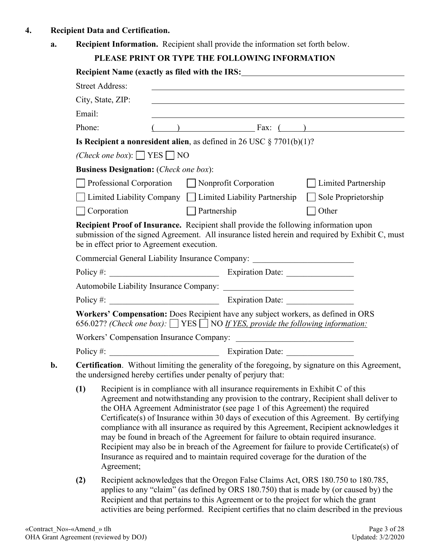- **4. Recipient Data and Certification.**
	- **a. Recipient Information.** Recipient shall provide the information set forth below.

# **PLEASE PRINT OR TYPE THE FOLLOWING INFORMATION**

|                                                |                                                                                                                                                                                                                                                                                                                                                                                                                                                                                                                                                                                                                                                                                                                                    |                                                                                                                                                                                                                                                                  |  |                                                                                                                                                                                | Recipient Name (exactly as filed with the IRS: __________________________________                                                                                                                                             |  |  |
|------------------------------------------------|------------------------------------------------------------------------------------------------------------------------------------------------------------------------------------------------------------------------------------------------------------------------------------------------------------------------------------------------------------------------------------------------------------------------------------------------------------------------------------------------------------------------------------------------------------------------------------------------------------------------------------------------------------------------------------------------------------------------------------|------------------------------------------------------------------------------------------------------------------------------------------------------------------------------------------------------------------------------------------------------------------|--|--------------------------------------------------------------------------------------------------------------------------------------------------------------------------------|-------------------------------------------------------------------------------------------------------------------------------------------------------------------------------------------------------------------------------|--|--|
|                                                | <b>Street Address:</b>                                                                                                                                                                                                                                                                                                                                                                                                                                                                                                                                                                                                                                                                                                             |                                                                                                                                                                                                                                                                  |  |                                                                                                                                                                                |                                                                                                                                                                                                                               |  |  |
|                                                | City, State, ZIP:                                                                                                                                                                                                                                                                                                                                                                                                                                                                                                                                                                                                                                                                                                                  |                                                                                                                                                                                                                                                                  |  |                                                                                                                                                                                | the control of the control of the control of the control of the control of the control of the control of the control of the control of the control of the control of the control of the control of the control of the control |  |  |
| Email:                                         |                                                                                                                                                                                                                                                                                                                                                                                                                                                                                                                                                                                                                                                                                                                                    |                                                                                                                                                                                                                                                                  |  |                                                                                                                                                                                |                                                                                                                                                                                                                               |  |  |
| Phone:                                         |                                                                                                                                                                                                                                                                                                                                                                                                                                                                                                                                                                                                                                                                                                                                    |                                                                                                                                                                                                                                                                  |  | $\overline{f}(x)$ Fax: $\overline{f}(x)$                                                                                                                                       |                                                                                                                                                                                                                               |  |  |
|                                                |                                                                                                                                                                                                                                                                                                                                                                                                                                                                                                                                                                                                                                                                                                                                    |                                                                                                                                                                                                                                                                  |  | Is Recipient a nonresident alien, as defined in 26 USC $\S 7701(b)(1)$ ?                                                                                                       |                                                                                                                                                                                                                               |  |  |
|                                                | ( <i>Check one box</i> ): $\Box$ YES $\Box$ NO                                                                                                                                                                                                                                                                                                                                                                                                                                                                                                                                                                                                                                                                                     |                                                                                                                                                                                                                                                                  |  |                                                                                                                                                                                |                                                                                                                                                                                                                               |  |  |
|                                                | <b>Business Designation:</b> (Check one box):                                                                                                                                                                                                                                                                                                                                                                                                                                                                                                                                                                                                                                                                                      |                                                                                                                                                                                                                                                                  |  |                                                                                                                                                                                |                                                                                                                                                                                                                               |  |  |
| Professional Corporation Nonprofit Corporation |                                                                                                                                                                                                                                                                                                                                                                                                                                                                                                                                                                                                                                                                                                                                    |                                                                                                                                                                                                                                                                  |  | Limited Partnership<br>$\mathbb{R}^n$                                                                                                                                          |                                                                                                                                                                                                                               |  |  |
|                                                |                                                                                                                                                                                                                                                                                                                                                                                                                                                                                                                                                                                                                                                                                                                                    |                                                                                                                                                                                                                                                                  |  | $\Box$ Limited Liability Company $\Box$ Limited Liability Partnership $\Box$                                                                                                   | Sole Proprietorship                                                                                                                                                                                                           |  |  |
|                                                | $\Box$ Corporation                                                                                                                                                                                                                                                                                                                                                                                                                                                                                                                                                                                                                                                                                                                 | <b>Partnership</b>                                                                                                                                                                                                                                               |  |                                                                                                                                                                                | Other<br>$\Box$                                                                                                                                                                                                               |  |  |
|                                                | be in effect prior to Agreement execution.                                                                                                                                                                                                                                                                                                                                                                                                                                                                                                                                                                                                                                                                                         |                                                                                                                                                                                                                                                                  |  | Commercial General Liability Insurance Company: ________________________________                                                                                               | submission of the signed Agreement. All insurance listed herein and required by Exhibit C, must                                                                                                                               |  |  |
|                                                |                                                                                                                                                                                                                                                                                                                                                                                                                                                                                                                                                                                                                                                                                                                                    |                                                                                                                                                                                                                                                                  |  |                                                                                                                                                                                |                                                                                                                                                                                                                               |  |  |
|                                                |                                                                                                                                                                                                                                                                                                                                                                                                                                                                                                                                                                                                                                                                                                                                    |                                                                                                                                                                                                                                                                  |  |                                                                                                                                                                                |                                                                                                                                                                                                                               |  |  |
|                                                |                                                                                                                                                                                                                                                                                                                                                                                                                                                                                                                                                                                                                                                                                                                                    |                                                                                                                                                                                                                                                                  |  |                                                                                                                                                                                |                                                                                                                                                                                                                               |  |  |
|                                                |                                                                                                                                                                                                                                                                                                                                                                                                                                                                                                                                                                                                                                                                                                                                    |                                                                                                                                                                                                                                                                  |  | Workers' Compensation: Does Recipient have any subject workers, as defined in ORS<br>656.027? (Check one box): $\Box$ YES $\Box$ NO If YES, provide the following information: |                                                                                                                                                                                                                               |  |  |
|                                                |                                                                                                                                                                                                                                                                                                                                                                                                                                                                                                                                                                                                                                                                                                                                    |                                                                                                                                                                                                                                                                  |  |                                                                                                                                                                                |                                                                                                                                                                                                                               |  |  |
|                                                |                                                                                                                                                                                                                                                                                                                                                                                                                                                                                                                                                                                                                                                                                                                                    |                                                                                                                                                                                                                                                                  |  |                                                                                                                                                                                |                                                                                                                                                                                                                               |  |  |
|                                                |                                                                                                                                                                                                                                                                                                                                                                                                                                                                                                                                                                                                                                                                                                                                    |                                                                                                                                                                                                                                                                  |  | the undersigned hereby certifies under penalty of perjury that:                                                                                                                | Certification. Without limiting the generality of the foregoing, by signature on this Agreement,                                                                                                                              |  |  |
| (1)                                            | Recipient is in compliance with all insurance requirements in Exhibit C of this<br>Agreement and notwithstanding any provision to the contrary, Recipient shall deliver to<br>the OHA Agreement Administrator (see page 1 of this Agreement) the required<br>Certificate(s) of Insurance within 30 days of execution of this Agreement. By certifying<br>compliance with all insurance as required by this Agreement, Recipient acknowledges it<br>may be found in breach of the Agreement for failure to obtain required insurance.<br>Recipient may also be in breach of the Agreement for failure to provide Certificate(s) of<br>Insurance as required and to maintain required coverage for the duration of the<br>Agreement; |                                                                                                                                                                                                                                                                  |  |                                                                                                                                                                                |                                                                                                                                                                                                                               |  |  |
| (2)                                            |                                                                                                                                                                                                                                                                                                                                                                                                                                                                                                                                                                                                                                                                                                                                    | Recipient acknowledges that the Oregon False Claims Act, ORS 180.750 to 180.785,<br>applies to any "claim" (as defined by ORS 180.750) that is made by (or caused by) the<br>Recipient and that pertains to this Agreement or to the project for which the grant |  |                                                                                                                                                                                |                                                                                                                                                                                                                               |  |  |

activities are being performed. Recipient certifies that no claim described in the previous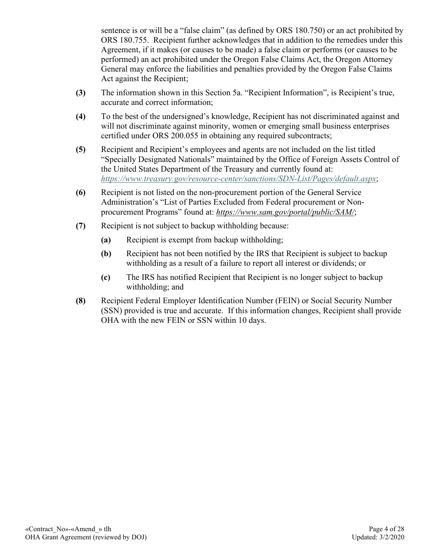sentence is or will be a "false claim" (as defined by ORS 180.750) or an act prohibited by ORS 180.755. Recipient further acknowledges that in addition to the remedies under this Agreement, if it makes (or causes to be made) a false claim or performs (or causes to be performed) an act prohibited under the Oregon False Claims Act, the Oregon Attorney General may enforce the liabilities and penalties provided by the Oregon False Claims Act against the Recipient;

- **(3)** The information shown in this Section 5a. "Recipient Information", is Recipient's true, accurate and correct information;
- **(4)** To the best of the undersigned's knowledge, Recipient has not discriminated against and will not discriminate against minority, women or emerging small business enterprises certified under ORS 200.055 in obtaining any required subcontracts;
- **(5)** Recipient and Recipient's employees and agents are not included on the list titled "Specially Designated Nationals" maintained by the Office of Foreign Assets Control of the United States Department of the Treasury and currently found at: *<https://www.treasury.gov/resource-center/sanctions/SDN-List/Pages/default.aspx>*;
- **(6)** Recipient is not listed on the non-procurement portion of the General Service Administration's "List of Parties Excluded from Federal procurement or Nonprocurement Programs" found at: *<https://www.sam.gov/portal/public/SAM/>*;
- **(7)** Recipient is not subject to backup withholding because:
	- **(a)** Recipient is exempt from backup withholding;
	- **(b)** Recipient has not been notified by the IRS that Recipient is subject to backup withholding as a result of a failure to report all interest or dividends; or
	- **(c)** The IRS has notified Recipient that Recipient is no longer subject to backup withholding; and
- **(8)** Recipient Federal Employer Identification Number (FEIN) or Social Security Number (SSN) provided is true and accurate. If this information changes, Recipient shall provide OHA with the new FEIN or SSN within 10 days.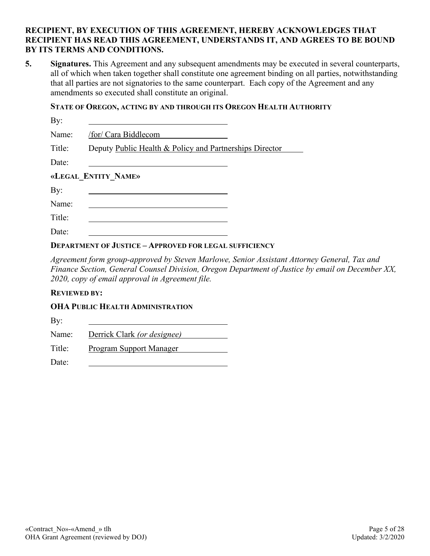#### **RECIPIENT, BY EXECUTION OF THIS AGREEMENT, HEREBY ACKNOWLEDGES THAT RECIPIENT HAS READ THIS AGREEMENT, UNDERSTANDS IT, AND AGREES TO BE BOUND BY ITS TERMS AND CONDITIONS.**

**5. Signatures.** This Agreement and any subsequent amendments may be executed in several counterparts, all of which when taken together shall constitute one agreement binding on all parties, notwithstanding that all parties are not signatories to the same counterpart. Each copy of the Agreement and any amendments so executed shall constitute an original.

#### **STATE OF OREGON, ACTING BY AND THROUGH ITS OREGON HEALTH AUTHORITY**

| By:                 |                                                         |  |  |  |  |  |  |
|---------------------|---------------------------------------------------------|--|--|--|--|--|--|
| Name:               | /for/ Cara Biddlecom                                    |  |  |  |  |  |  |
| Title:              | Deputy Public Health & Policy and Partnerships Director |  |  |  |  |  |  |
| Date:               |                                                         |  |  |  |  |  |  |
| «LEGAL ENTITY NAME» |                                                         |  |  |  |  |  |  |
| By:                 |                                                         |  |  |  |  |  |  |
| Name:               |                                                         |  |  |  |  |  |  |
| Title:              |                                                         |  |  |  |  |  |  |
| Date:               |                                                         |  |  |  |  |  |  |

#### **DEPARTMENT OF JUSTICE – APPROVED FOR LEGAL SUFFICIENCY**

*Agreement form group-approved by Steven Marlowe, Senior Assistant Attorney General, Tax and Finance Section, General Counsel Division, Oregon Department of Justice by email on December XX, 2020, copy of email approval in Agreement file.*

#### **REVIEWED BY:**

#### **OHA PUBLIC HEALTH ADMINISTRATION**

By: Name: Derrick Clark *(or designee)*

Title: Program Support Manager

Date: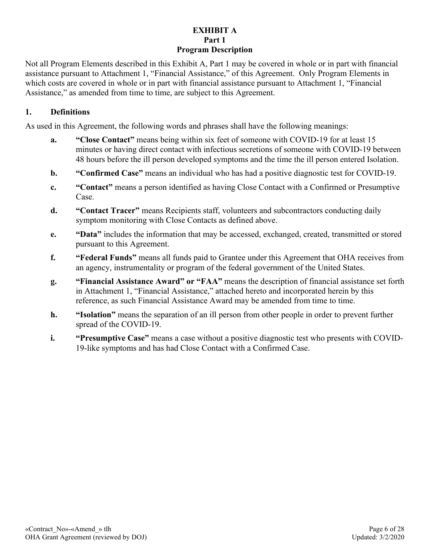### **EXHIBIT A Part 1 Program Description**

Not all Program Elements described in this Exhibit A, Part 1 may be covered in whole or in part with financial assistance pursuant to Attachment 1, "Financial Assistance," of this Agreement. Only Program Elements in which costs are covered in whole or in part with financial assistance pursuant to Attachment 1, "Financial Assistance," as amended from time to time, are subject to this Agreement.

#### **1. Definitions**

As used in this Agreement, the following words and phrases shall have the following meanings:

- **a. "Close Contact"** means being within six feet of someone with COVID-19 for at least 15 minutes or having direct contact with infectious secretions of someone with COVID-19 between 48 hours before the ill person developed symptoms and the time the ill person entered Isolation.
- **b. "Confirmed Case"** means an individual who has had a positive diagnostic test for COVID-19.
- **c. "Contact"** means a person identified as having Close Contact with a Confirmed or Presumptive Case.
- **d. "Contact Tracer"** means Recipients staff, volunteers and subcontractors conducting daily symptom monitoring with Close Contacts as defined above.
- **e. "Data"** includes the information that may be accessed, exchanged, created, transmitted or stored pursuant to this Agreement.
- **f. "Federal Funds"** means all funds paid to Grantee under this Agreement that OHA receives from an agency, instrumentality or program of the federal government of the United States.
- **g. "Financial Assistance Award" or "FAA"** means the description of financial assistance set forth in Attachment 1, "Financial Assistance," attached hereto and incorporated herein by this reference, as such Financial Assistance Award may be amended from time to time.
- **h. "Isolation"** means the separation of an ill person from other people in order to prevent further spread of the COVID-19.
- **i. "Presumptive Case"** means a case without a positive diagnostic test who presents with COVID-19-like symptoms and has had Close Contact with a Confirmed Case.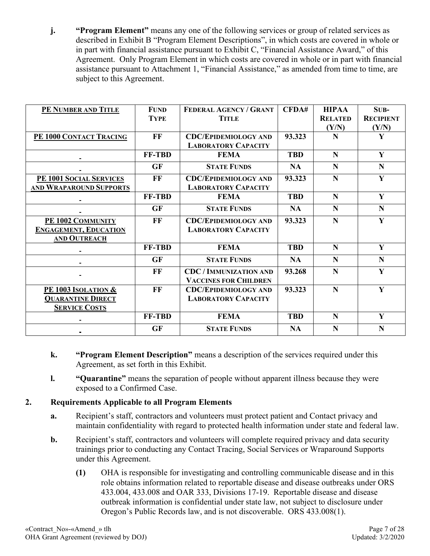**j. "Program Element"** means any one of the following services or group of related services as described in Exhibit B "Program Element Descriptions", in which costs are covered in whole or in part with financial assistance pursuant to Exhibit C, "Financial Assistance Award," of this Agreement. Only Program Element in which costs are covered in whole or in part with financial assistance pursuant to Attachment 1, "Financial Assistance," as amended from time to time, are subject to this Agreement.

| PE NUMBER AND TITLE            | <b>FUND</b>   | FEDERAL AGENCY / GRANT        | CFDA#      | <b>HIPAA</b>   | SUB-             |
|--------------------------------|---------------|-------------------------------|------------|----------------|------------------|
|                                | <b>TYPE</b>   | <b>TITLE</b>                  |            | <b>RELATED</b> | <b>RECIPIENT</b> |
|                                |               |                               |            | (Y/N)          | (Y/N)            |
| PE 1000 CONTACT TRACING        | $\bf FF$      | <b>CDC/EPIDEMIOLOGY AND</b>   | 93.323     | N              | Y                |
|                                |               | <b>LABORATORY CAPACITY</b>    |            |                |                  |
|                                | FF-TBD        | <b>FEMA</b>                   | <b>TBD</b> | N              | Y                |
|                                | <b>GF</b>     | <b>STATE FUNDS</b>            | <b>NA</b>  | N              | $\mathbf N$      |
| PE 1001 SOCIAL SERVICES        | FF            | <b>CDC/EPIDEMIOLOGY AND</b>   | 93.323     | N              | Y                |
| AND WRAPAROUND SUPPORTS        |               | <b>LABORATORY CAPACITY</b>    |            |                |                  |
|                                | <b>FF-TBD</b> | <b>FEMA</b>                   | <b>TBD</b> | N              | Y                |
|                                | <b>GF</b>     | <b>STATE FUNDS</b>            | <b>NA</b>  | N              | $\mathbf N$      |
| PE 1002 COMMUNITY              | FF            | <b>CDC/EPIDEMIOLOGY AND</b>   | 93.323     | N              | Y                |
| <b>ENGAGEMENT, EDUCATION</b>   |               | <b>LABORATORY CAPACITY</b>    |            |                |                  |
| AND OUTREACH                   |               |                               |            |                |                  |
|                                | FF-TBD        | <b>FEMA</b>                   | <b>TBD</b> | N              | Y                |
|                                | <b>GF</b>     | <b>STATE FUNDS</b>            | <b>NA</b>  | N              | $\mathbf N$      |
|                                | FF            | <b>CDC / IMMUNIZATION AND</b> | 93.268     | N              | Y                |
|                                |               | <b>VACCINES FOR CHILDREN</b>  |            |                |                  |
| <b>PE 1003 ISOLATION &amp;</b> | FF            | <b>CDC/EPIDEMIOLOGY AND</b>   | 93.323     | N              | Y                |
| <b>QUARANTINE DIRECT</b>       |               | <b>LABORATORY CAPACITY</b>    |            |                |                  |
| <b>SERVICE COSTS</b>           |               |                               |            |                |                  |
|                                | FF-TBD        | <b>FEMA</b>                   | <b>TBD</b> | N              | Y                |
|                                | <b>GF</b>     | <b>STATE FUNDS</b>            | <b>NA</b>  | N              | N                |

- **k. "Program Element Description"** means a description of the services required under this Agreement, as set forth in this Exhibit.
- **l. "Quarantine"** means the separation of people without apparent illness because they were exposed to a Confirmed Case.

# **2. Requirements Applicable to all Program Elements**

- **a.** Recipient's staff, contractors and volunteers must protect patient and Contact privacy and maintain confidentiality with regard to protected health information under state and federal law.
- **b.** Recipient's staff, contractors and volunteers will complete required privacy and data security trainings prior to conducting any Contact Tracing, Social Services or Wraparound Supports under this Agreement.
	- **(1)** OHA is responsible for investigating and controlling communicable disease and in this role obtains information related to reportable disease and disease outbreaks under ORS 433.004, 433.008 and OAR 333, Divisions 17-19. Reportable disease and disease outbreak information is confidential under state law, not subject to disclosure under Oregon's Public Records law, and is not discoverable. ORS 433.008(1).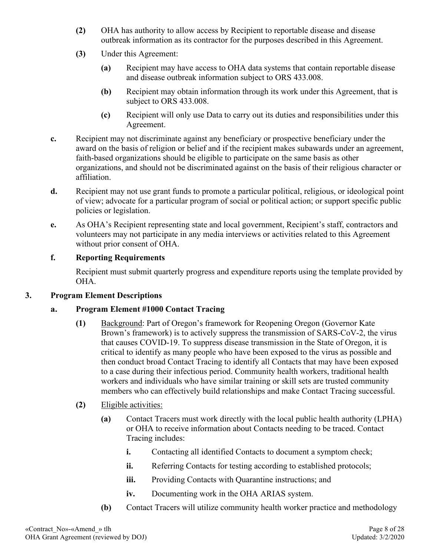- **(2)** OHA has authority to allow access by Recipient to reportable disease and disease outbreak information as its contractor for the purposes described in this Agreement.
- **(3)** Under this Agreement:
	- **(a)** Recipient may have access to OHA data systems that contain reportable disease and disease outbreak information subject to ORS 433.008.
	- **(b)** Recipient may obtain information through its work under this Agreement, that is subject to ORS 433.008.
	- **(c)** Recipient will only use Data to carry out its duties and responsibilities under this Agreement.
- **c.** Recipient may not discriminate against any beneficiary or prospective beneficiary under the award on the basis of religion or belief and if the recipient makes subawards under an agreement, faith-based organizations should be eligible to participate on the same basis as other organizations, and should not be discriminated against on the basis of their religious character or affiliation.
- **d.** Recipient may not use grant funds to promote a particular political, religious, or ideological point of view; advocate for a particular program of social or political action; or support specific public policies or legislation.
- **e.** As OHA's Recipient representing state and local government, Recipient's staff, contractors and volunteers may not participate in any media interviews or activities related to this Agreement without prior consent of OHA.

## **f. Reporting Requirements**

Recipient must submit quarterly progress and expenditure reports using the template provided by OHA.

#### **3. Program Element Descriptions**

#### **a. Program Element #1000 Contact Tracing**

**(1)** Background: Part of Oregon's framework for Reopening Oregon (Governor Kate Brown's framework) is to actively suppress the transmission of SARS-CoV-2, the virus that causes COVID-19. To suppress disease transmission in the State of Oregon, it is critical to identify as many people who have been exposed to the virus as possible and then conduct broad Contact Tracing to identify all Contacts that may have been exposed to a case during their infectious period. Community health workers, traditional health workers and individuals who have similar training or skill sets are trusted community members who can effectively build relationships and make Contact Tracing successful.

#### **(2)** Eligible activities:

- **(a)** Contact Tracers must work directly with the local public health authority (LPHA) or OHA to receive information about Contacts needing to be traced. Contact Tracing includes:
	- **i.** Contacting all identified Contacts to document a symptom check;
	- **ii.** Referring Contacts for testing according to established protocols;
	- **iii.** Providing Contacts with Quarantine instructions; and
	- **iv.** Documenting work in the OHA ARIAS system.
- **(b)** Contact Tracers will utilize community health worker practice and methodology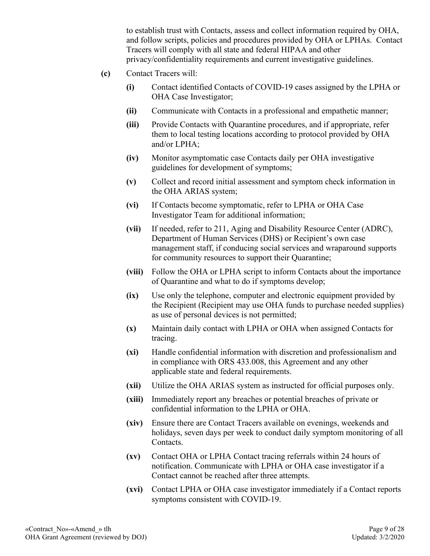to establish trust with Contacts, assess and collect information required by OHA, and follow scripts, policies and procedures provided by OHA or LPHAs. Contact Tracers will comply with all state and federal HIPAA and other privacy/confidentiality requirements and current investigative guidelines.

- **(c)** Contact Tracers will:
	- **(i)** Contact identified Contacts of COVID-19 cases assigned by the LPHA or OHA Case Investigator;
	- **(ii)** Communicate with Contacts in a professional and empathetic manner;
	- **(iii)** Provide Contacts with Quarantine procedures, and if appropriate, refer them to local testing locations according to protocol provided by OHA and/or LPHA;
	- **(iv)** Monitor asymptomatic case Contacts daily per OHA investigative guidelines for development of symptoms;
	- **(v)** Collect and record initial assessment and symptom check information in the OHA ARIAS system;
	- **(vi)** If Contacts become symptomatic, refer to LPHA or OHA Case Investigator Team for additional information;
	- **(vii)** If needed, refer to 211, Aging and Disability Resource Center (ADRC), Department of Human Services (DHS) or Recipient's own case management staff, if conducing social services and wraparound supports for community resources to support their Quarantine;
	- **(viii)** Follow the OHA or LPHA script to inform Contacts about the importance of Quarantine and what to do if symptoms develop;
	- **(ix)** Use only the telephone, computer and electronic equipment provided by the Recipient (Recipient may use OHA funds to purchase needed supplies) as use of personal devices is not permitted;
	- **(x)** Maintain daily contact with LPHA or OHA when assigned Contacts for tracing.
	- **(xi)** Handle confidential information with discretion and professionalism and in compliance with ORS 433.008, this Agreement and any other applicable state and federal requirements.
	- **(xii)** Utilize the OHA ARIAS system as instructed for official purposes only.
	- **(xiii)** Immediately report any breaches or potential breaches of private or confidential information to the LPHA or OHA.
	- **(xiv)** Ensure there are Contact Tracers available on evenings, weekends and holidays, seven days per week to conduct daily symptom monitoring of all Contacts.
	- **(xv)** Contact OHA or LPHA Contact tracing referrals within 24 hours of notification. Communicate with LPHA or OHA case investigator if a Contact cannot be reached after three attempts.
	- **(xvi)** Contact LPHA or OHA case investigator immediately if a Contact reports symptoms consistent with COVID-19.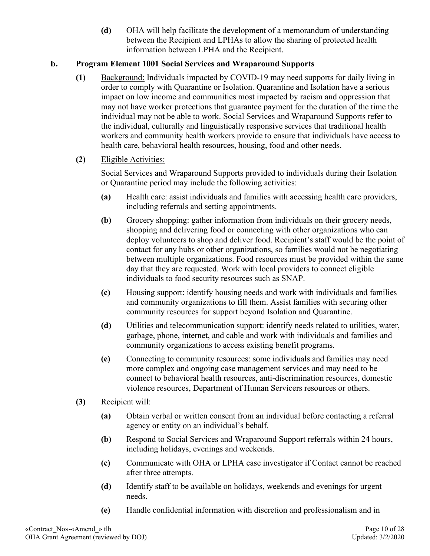**(d)** OHA will help facilitate the development of a memorandum of understanding between the Recipient and LPHAs to allow the sharing of protected health information between LPHA and the Recipient.

## **b. Program Element 1001 Social Services and Wraparound Supports**

**(1)** Background: Individuals impacted by COVID-19 may need supports for daily living in order to comply with Quarantine or Isolation. Quarantine and Isolation have a serious impact on low income and communities most impacted by racism and oppression that may not have worker protections that guarantee payment for the duration of the time the individual may not be able to work. Social Services and Wraparound Supports refer to the individual, culturally and linguistically responsive services that traditional health workers and community health workers provide to ensure that individuals have access to health care, behavioral health resources, housing, food and other needs.

## **(2)** Eligible Activities:

Social Services and Wraparound Supports provided to individuals during their Isolation or Quarantine period may include the following activities:

- **(a)** Health care: assist individuals and families with accessing health care providers, including referrals and setting appointments.
- **(b)** Grocery shopping: gather information from individuals on their grocery needs, shopping and delivering food or connecting with other organizations who can deploy volunteers to shop and deliver food. Recipient's staff would be the point of contact for any hubs or other organizations, so families would not be negotiating between multiple organizations. Food resources must be provided within the same day that they are requested. Work with local providers to connect eligible individuals to food security resources such as SNAP.
- **(c)** Housing support: identify housing needs and work with individuals and families and community organizations to fill them. Assist families with securing other community resources for support beyond Isolation and Quarantine.
- **(d)** Utilities and telecommunication support: identify needs related to utilities, water, garbage, phone, internet, and cable and work with individuals and families and community organizations to access existing benefit programs.
- **(e)** Connecting to community resources: some individuals and families may need more complex and ongoing case management services and may need to be connect to behavioral health resources, anti-discrimination resources, domestic violence resources, Department of Human Servicers resources or others.
- **(3)** Recipient will:
	- **(a)** Obtain verbal or written consent from an individual before contacting a referral agency or entity on an individual's behalf.
	- **(b)** Respond to Social Services and Wraparound Support referrals within 24 hours, including holidays, evenings and weekends.
	- **(c)** Communicate with OHA or LPHA case investigator if Contact cannot be reached after three attempts.
	- **(d)** Identify staff to be available on holidays, weekends and evenings for urgent needs.
	- **(e)** Handle confidential information with discretion and professionalism and in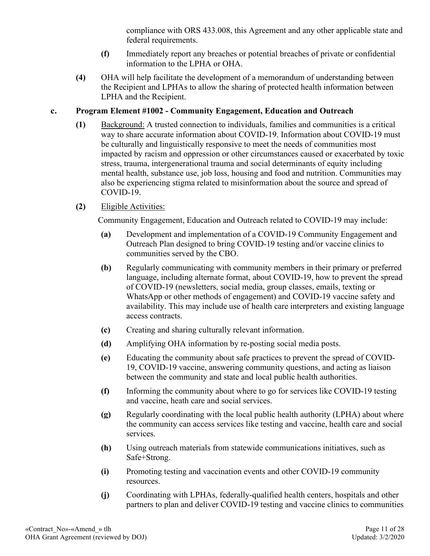compliance with ORS 433.008, this Agreement and any other applicable state and federal requirements.

- **(f)** Immediately report any breaches or potential breaches of private or confidential information to the LPHA or OHA.
- **(4)** OHA will help facilitate the development of a memorandum of understanding between the Recipient and LPHAs to allow the sharing of protected health information between LPHA and the Recipient.

## **c. Program Element #1002 - Community Engagement, Education and Outreach**

**(1)** Background: A trusted connection to individuals, families and communities is a critical way to share accurate information about COVID-19. Information about COVID-19 must be culturally and linguistically responsive to meet the needs of communities most impacted by racism and oppression or other circumstances caused or exacerbated by toxic stress, trauma, intergenerational trauma and social determinants of equity including mental health, substance use, job loss, housing and food and nutrition. Communities may also be experiencing stigma related to misinformation about the source and spread of COVID-19.

## **(2)** Eligible Activities:

Community Engagement, Education and Outreach related to COVID-19 may include:

- **(a)** Development and implementation of a COVID-19 Community Engagement and Outreach Plan designed to bring COVID-19 testing and/or vaccine clinics to communities served by the CBO.
- **(b)** Regularly communicating with community members in their primary or preferred language, including alternate format, about COVID-19, how to prevent the spread of COVID-19 (newsletters, social media, group classes, emails, texting or WhatsApp or other methods of engagement) and COVID-19 vaccine safety and availability. This may include use of health care interpreters and existing language access contracts.
- **(c)** Creating and sharing culturally relevant information.
- **(d)** Amplifying OHA information by re-posting social media posts.
- **(e)** Educating the community about safe practices to prevent the spread of COVID-19, COVID-19 vaccine, answering community questions, and acting as liaison between the community and state and local public health authorities.
- **(f)** Informing the community about where to go for services like COVID-19 testing and vaccine, heath care and social services.
- **(g)** Regularly coordinating with the local public health authority (LPHA) about where the community can access services like testing and vaccine, health care and social services.
- **(h)** Using outreach materials from statewide communications initiatives, such as Safe+Strong.
- **(i)** Promoting testing and vaccination events and other COVID-19 community resources.
- **(j)** Coordinating with LPHAs, federally-qualified health centers, hospitals and other partners to plan and deliver COVID-19 testing and vaccine clinics to communities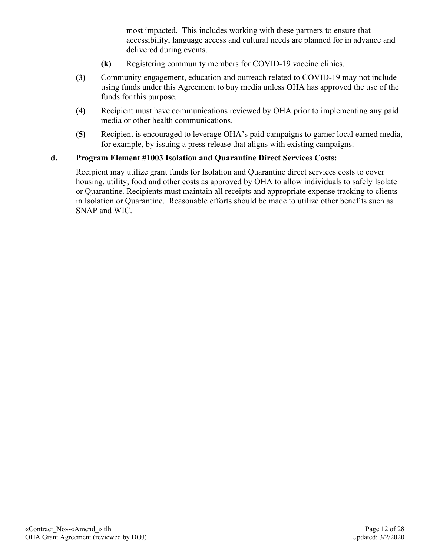most impacted. This includes working with these partners to ensure that accessibility, language access and cultural needs are planned for in advance and delivered during events.

- **(k)** Registering community members for COVID-19 vaccine clinics.
- **(3)** Community engagement, education and outreach related to COVID-19 may not include using funds under this Agreement to buy media unless OHA has approved the use of the funds for this purpose.
- **(4)** Recipient must have communications reviewed by OHA prior to implementing any paid media or other health communications.
- **(5)** Recipient is encouraged to leverage OHA's paid campaigns to garner local earned media, for example, by issuing a press release that aligns with existing campaigns.

#### **d. Program Element #1003 Isolation and Quarantine Direct Services Costs:**

Recipient may utilize grant funds for Isolation and Quarantine direct services costs to cover housing, utility, food and other costs as approved by OHA to allow individuals to safely Isolate or Quarantine. Recipients must maintain all receipts and appropriate expense tracking to clients in Isolation or Quarantine. Reasonable efforts should be made to utilize other benefits such as SNAP and WIC.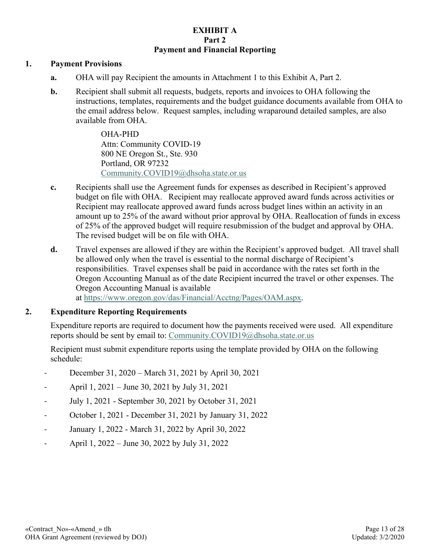#### **EXHIBIT A Part 2 Payment and Financial Reporting**

#### **1. Payment Provisions**

- **a.** OHA will pay Recipient the amounts in Attachment 1 to this Exhibit A, Part 2.
- **b.** Recipient shall submit all requests, budgets, reports and invoices to OHA following the instructions, templates, requirements and the budget guidance documents available from OHA to the email address below. Request samples, including wraparound detailed samples, are also available from OHA.

OHA-PHD Attn: Community COVID-19 800 NE Oregon St., Ste. 930 Portland, OR 97232 [Community.COVID19@dhsoha.state.or.us](mailto:Community.COVID19@dhsoha.state.or.us)

- **c.** Recipients shall use the Agreement funds for expenses as described in Recipient's approved budget on file with OHA. Recipient may reallocate approved award funds across activities or Recipient may reallocate approved award funds across budget lines within an activity in an amount up to 25% of the award without prior approval by OHA. Reallocation of funds in excess of 25% of the approved budget will require resubmission of the budget and approval by OHA. The revised budget will be on file with OHA.
- **d.** Travel expenses are allowed if they are within the Recipient's approved budget. All travel shall be allowed only when the travel is essential to the normal discharge of Recipient's responsibilities. Travel expenses shall be paid in accordance with the rates set forth in the Oregon Accounting Manual as of the date Recipient incurred the travel or other expenses. The Oregon Accounting Manual is available at [https://www.oregon.gov/das/Financial/Acctng/Pages/OAM.aspx.](https://www.oregon.gov/das/Financial/Acctng/Pages/OAM.aspx)

# **2. Expenditure Reporting Requirements**

Expenditure reports are required to document how the payments received were used. All expenditure reports should be sent by email to: [Community.COVID19@dhsoha.state.or.us](mailto:Community.COVID19@dhsoha.state.or.us)

Recipient must submit expenditure reports using the template provided by OHA on the following schedule:

- December 31, 2020 March 31, 2021 by April 30, 2021
- April 1, 2021 June 30, 2021 by July 31, 2021
- July 1, 2021 September 30, 2021 by October 31, 2021
- October 1, 2021 December 31, 2021 by January 31, 2022
- January 1, 2022 March 31, 2022 by April 30, 2022
- April 1, 2022 June 30, 2022 by July 31, 2022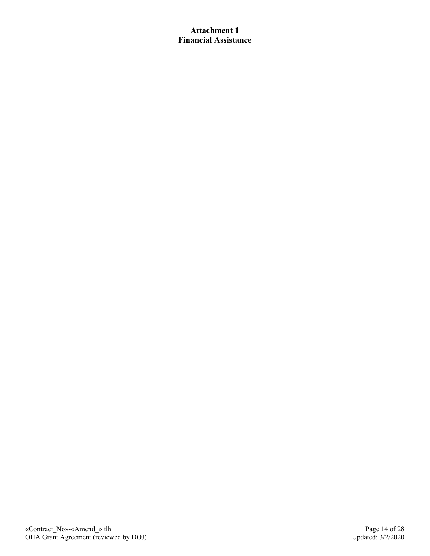### **Attachment 1 Financial Assistance**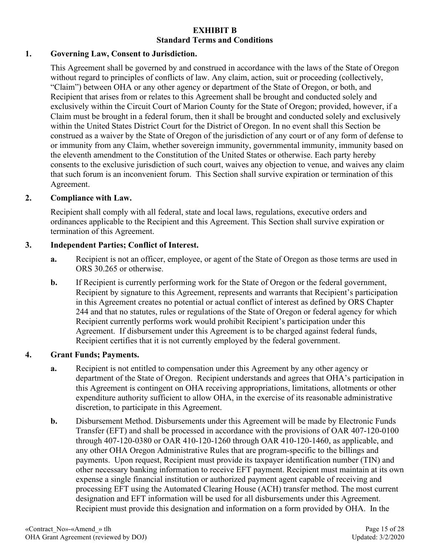#### **EXHIBIT B Standard Terms and Conditions**

## **1. Governing Law, Consent to Jurisdiction.**

This Agreement shall be governed by and construed in accordance with the laws of the State of Oregon without regard to principles of conflicts of law. Any claim, action, suit or proceeding (collectively, "Claim") between OHA or any other agency or department of the State of Oregon, or both, and Recipient that arises from or relates to this Agreement shall be brought and conducted solely and exclusively within the Circuit Court of Marion County for the State of Oregon; provided, however, if a Claim must be brought in a federal forum, then it shall be brought and conducted solely and exclusively within the United States District Court for the District of Oregon. In no event shall this Section be construed as a waiver by the State of Oregon of the jurisdiction of any court or of any form of defense to or immunity from any Claim, whether sovereign immunity, governmental immunity, immunity based on the eleventh amendment to the Constitution of the United States or otherwise. Each party hereby consents to the exclusive jurisdiction of such court, waives any objection to venue, and waives any claim that such forum is an inconvenient forum. This Section shall survive expiration or termination of this Agreement.

#### **2. Compliance with Law.**

Recipient shall comply with all federal, state and local laws, regulations, executive orders and ordinances applicable to the Recipient and this Agreement. This Section shall survive expiration or termination of this Agreement.

#### **3. Independent Parties; Conflict of Interest.**

- **a.** Recipient is not an officer, employee, or agent of the State of Oregon as those terms are used in ORS 30.265 or otherwise.
- **b.** If Recipient is currently performing work for the State of Oregon or the federal government, Recipient by signature to this Agreement, represents and warrants that Recipient's participation in this Agreement creates no potential or actual conflict of interest as defined by ORS Chapter 244 and that no statutes, rules or regulations of the State of Oregon or federal agency for which Recipient currently performs work would prohibit Recipient's participation under this Agreement. If disbursement under this Agreement is to be charged against federal funds, Recipient certifies that it is not currently employed by the federal government.

#### **4. Grant Funds; Payments.**

- **a.** Recipient is not entitled to compensation under this Agreement by any other agency or department of the State of Oregon. Recipient understands and agrees that OHA's participation in this Agreement is contingent on OHA receiving appropriations, limitations, allotments or other expenditure authority sufficient to allow OHA, in the exercise of its reasonable administrative discretion, to participate in this Agreement.
- **b.** Disbursement Method. Disbursements under this Agreement will be made by Electronic Funds Transfer (EFT) and shall be processed in accordance with the provisions of OAR 407-120-0100 through 407-120-0380 or OAR 410-120-1260 through OAR 410-120-1460, as applicable, and any other OHA Oregon Administrative Rules that are program-specific to the billings and payments. Upon request, Recipient must provide its taxpayer identification number (TIN) and other necessary banking information to receive EFT payment. Recipient must maintain at its own expense a single financial institution or authorized payment agent capable of receiving and processing EFT using the Automated Clearing House (ACH) transfer method. The most current designation and EFT information will be used for all disbursements under this Agreement. Recipient must provide this designation and information on a form provided by OHA. In the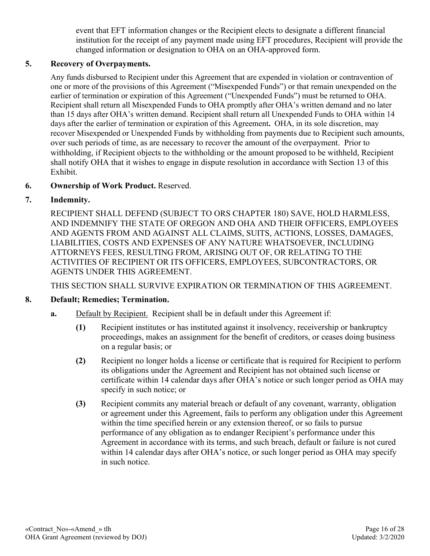event that EFT information changes or the Recipient elects to designate a different financial institution for the receipt of any payment made using EFT procedures, Recipient will provide the changed information or designation to OHA on an OHA-approved form.

## **5. Recovery of Overpayments.**

Any funds disbursed to Recipient under this Agreement that are expended in violation or contravention of one or more of the provisions of this Agreement ("Misexpended Funds") or that remain unexpended on the earlier of termination or expiration of this Agreement ("Unexpended Funds") must be returned to OHA. Recipient shall return all Misexpended Funds to OHA promptly after OHA's written demand and no later than 15 days after OHA's written demand. Recipient shall return all Unexpended Funds to OHA within 14 days after the earlier of termination or expiration of this Agreement**.** OHA, in its sole discretion, may recover Misexpended or Unexpended Funds by withholding from payments due to Recipient such amounts, over such periods of time, as are necessary to recover the amount of the overpayment. Prior to withholding, if Recipient objects to the withholding or the amount proposed to be withheld, Recipient shall notify OHA that it wishes to engage in dispute resolution in accordance with Section 13 of this Exhibit.

## **6. Ownership of Work Product.** Reserved.

## **7. Indemnity.**

RECIPIENT SHALL DEFEND (SUBJECT TO ORS CHAPTER 180) SAVE, HOLD HARMLESS, AND INDEMNIFY THE STATE OF OREGON AND OHA AND THEIR OFFICERS, EMPLOYEES AND AGENTS FROM AND AGAINST ALL CLAIMS, SUITS, ACTIONS, LOSSES, DAMAGES, LIABILITIES, COSTS AND EXPENSES OF ANY NATURE WHATSOEVER, INCLUDING ATTORNEYS FEES, RESULTING FROM, ARISING OUT OF, OR RELATING TO THE ACTIVITIES OF RECIPIENT OR ITS OFFICERS, EMPLOYEES, SUBCONTRACTORS, OR AGENTS UNDER THIS AGREEMENT.

THIS SECTION SHALL SURVIVE EXPIRATION OR TERMINATION OF THIS AGREEMENT.

#### **8. Default; Remedies; Termination.**

- **a.** Default by Recipient. Recipient shall be in default under this Agreement if:
	- **(1)** Recipient institutes or has instituted against it insolvency, receivership or bankruptcy proceedings, makes an assignment for the benefit of creditors, or ceases doing business on a regular basis; or
	- **(2)** Recipient no longer holds a license or certificate that is required for Recipient to perform its obligations under the Agreement and Recipient has not obtained such license or certificate within 14 calendar days after OHA's notice or such longer period as OHA may specify in such notice; or
	- **(3)** Recipient commits any material breach or default of any covenant, warranty, obligation or agreement under this Agreement, fails to perform any obligation under this Agreement within the time specified herein or any extension thereof, or so fails to pursue performance of any obligation as to endanger Recipient's performance under this Agreement in accordance with its terms, and such breach, default or failure is not cured within 14 calendar days after OHA's notice, or such longer period as OHA may specify in such notice.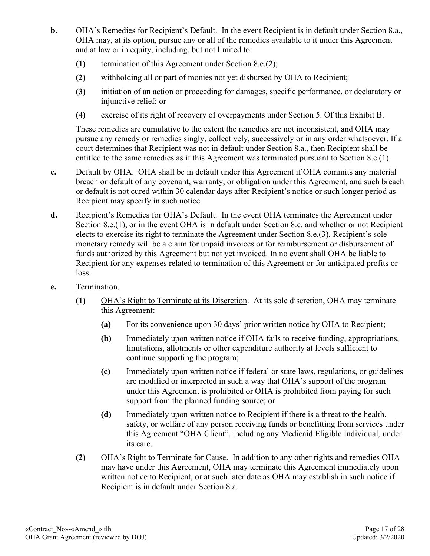- **b.** OHA's Remedies for Recipient's Default. In the event Recipient is in default under Section 8.a., OHA may, at its option, pursue any or all of the remedies available to it under this Agreement and at law or in equity, including, but not limited to:
	- **(1)** termination of this Agreement under Section 8.e.(2);
	- **(2)** withholding all or part of monies not yet disbursed by OHA to Recipient;
	- **(3)** initiation of an action or proceeding for damages, specific performance, or declaratory or injunctive relief; or
	- **(4)** exercise of its right of recovery of overpayments under Section 5. Of this Exhibit B.

These remedies are cumulative to the extent the remedies are not inconsistent, and OHA may pursue any remedy or remedies singly, collectively, successively or in any order whatsoever. If a court determines that Recipient was not in default under Section 8.a., then Recipient shall be entitled to the same remedies as if this Agreement was terminated pursuant to Section 8.e.(1).

- **c.** Default by OHA. OHA shall be in default under this Agreement if OHA commits any material breach or default of any covenant, warranty, or obligation under this Agreement, and such breach or default is not cured within 30 calendar days after Recipient's notice or such longer period as Recipient may specify in such notice.
- **d.** Recipient's Remedies for OHA's Default. In the event OHA terminates the Agreement under Section 8.e.(1), or in the event OHA is in default under Section 8.c. and whether or not Recipient elects to exercise its right to terminate the Agreement under Section 8.e.(3), Recipient's sole monetary remedy will be a claim for unpaid invoices or for reimbursement or disbursement of funds authorized by this Agreement but not yet invoiced. In no event shall OHA be liable to Recipient for any expenses related to termination of this Agreement or for anticipated profits or loss.
- **e.** Termination.
	- **(1)** OHA's Right to Terminate at its Discretion. At its sole discretion, OHA may terminate this Agreement:
		- **(a)** For its convenience upon 30 days' prior written notice by OHA to Recipient;
		- **(b)** Immediately upon written notice if OHA fails to receive funding, appropriations, limitations, allotments or other expenditure authority at levels sufficient to continue supporting the program;
		- **(c)** Immediately upon written notice if federal or state laws, regulations, or guidelines are modified or interpreted in such a way that OHA's support of the program under this Agreement is prohibited or OHA is prohibited from paying for such support from the planned funding source; or
		- **(d)** Immediately upon written notice to Recipient if there is a threat to the health, safety, or welfare of any person receiving funds or benefitting from services under this Agreement "OHA Client", including any Medicaid Eligible Individual, under its care.
	- **(2)** OHA's Right to Terminate for Cause. In addition to any other rights and remedies OHA may have under this Agreement, OHA may terminate this Agreement immediately upon written notice to Recipient, or at such later date as OHA may establish in such notice if Recipient is in default under Section 8.a.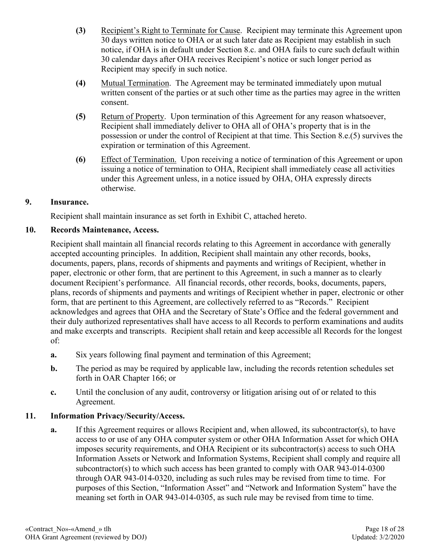- **(3)** Recipient's Right to Terminate for Cause. Recipient may terminate this Agreement upon 30 days written notice to OHA or at such later date as Recipient may establish in such notice, if OHA is in default under Section 8.c. and OHA fails to cure such default within 30 calendar days after OHA receives Recipient's notice or such longer period as Recipient may specify in such notice.
- **(4)** Mutual Termination. The Agreement may be terminated immediately upon mutual written consent of the parties or at such other time as the parties may agree in the written consent.
- **(5)** Return of Property. Upon termination of this Agreement for any reason whatsoever, Recipient shall immediately deliver to OHA all of OHA's property that is in the possession or under the control of Recipient at that time. This Section 8.e.(5) survives the expiration or termination of this Agreement.
- **(6)** Effect of Termination. Upon receiving a notice of termination of this Agreement or upon issuing a notice of termination to OHA, Recipient shall immediately cease all activities under this Agreement unless, in a notice issued by OHA, OHA expressly directs otherwise.

## **9. Insurance.**

Recipient shall maintain insurance as set forth in Exhibit C, attached hereto.

## **10. Records Maintenance, Access.**

Recipient shall maintain all financial records relating to this Agreement in accordance with generally accepted accounting principles. In addition, Recipient shall maintain any other records, books, documents, papers, plans, records of shipments and payments and writings of Recipient, whether in paper, electronic or other form, that are pertinent to this Agreement, in such a manner as to clearly document Recipient's performance. All financial records, other records, books, documents, papers, plans, records of shipments and payments and writings of Recipient whether in paper, electronic or other form, that are pertinent to this Agreement, are collectively referred to as "Records." Recipient acknowledges and agrees that OHA and the Secretary of State's Office and the federal government and their duly authorized representatives shall have access to all Records to perform examinations and audits and make excerpts and transcripts. Recipient shall retain and keep accessible all Records for the longest of:

- **a.** Six years following final payment and termination of this Agreement;
- **b.** The period as may be required by applicable law, including the records retention schedules set forth in OAR Chapter 166; or
- **c.** Until the conclusion of any audit, controversy or litigation arising out of or related to this Agreement.

#### **11. Information Privacy/Security/Access.**

**a.** If this Agreement requires or allows Recipient and, when allowed, its subcontractor(s), to have access to or use of any OHA computer system or other OHA Information Asset for which OHA imposes security requirements, and OHA Recipient or its subcontractor(s) access to such OHA Information Assets or Network and Information Systems, Recipient shall comply and require all subcontractor(s) to which such access has been granted to comply with OAR 943-014-0300 through OAR 943-014-0320, including as such rules may be revised from time to time. For purposes of this Section, "Information Asset" and "Network and Information System" have the meaning set forth in OAR 943-014-0305, as such rule may be revised from time to time.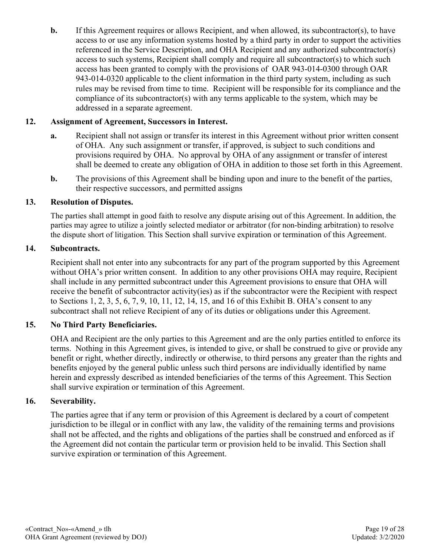**b.** If this Agreement requires or allows Recipient, and when allowed, its subcontractor(s), to have access to or use any information systems hosted by a third party in order to support the activities referenced in the Service Description, and OHA Recipient and any authorized subcontractor(s) access to such systems, Recipient shall comply and require all subcontractor(s) to which such access has been granted to comply with the provisions of OAR 943-014-0300 through OAR 943-014-0320 applicable to the client information in the third party system, including as such rules may be revised from time to time. Recipient will be responsible for its compliance and the compliance of its subcontractor(s) with any terms applicable to the system, which may be addressed in a separate agreement.

## **12. Assignment of Agreement, Successors in Interest.**

- **a.** Recipient shall not assign or transfer its interest in this Agreement without prior written consent of OHA. Any such assignment or transfer, if approved, is subject to such conditions and provisions required by OHA. No approval by OHA of any assignment or transfer of interest shall be deemed to create any obligation of OHA in addition to those set forth in this Agreement.
- **b.** The provisions of this Agreement shall be binding upon and inure to the benefit of the parties, their respective successors, and permitted assigns

#### **13. Resolution of Disputes.**

The parties shall attempt in good faith to resolve any dispute arising out of this Agreement. In addition, the parties may agree to utilize a jointly selected mediator or arbitrator (for non-binding arbitration) to resolve the dispute short of litigation. This Section shall survive expiration or termination of this Agreement.

### **14. Subcontracts.**

Recipient shall not enter into any subcontracts for any part of the program supported by this Agreement without OHA's prior written consent. In addition to any other provisions OHA may require, Recipient shall include in any permitted subcontract under this Agreement provisions to ensure that OHA will receive the benefit of subcontractor activity(ies) as if the subcontractor were the Recipient with respect to Sections 1, 2, 3, 5, 6, 7, 9, 10, 11, 12, 14, 15, and 16 of this Exhibit B. OHA's consent to any subcontract shall not relieve Recipient of any of its duties or obligations under this Agreement.

#### **15. No Third Party Beneficiaries.**

OHA and Recipient are the only parties to this Agreement and are the only parties entitled to enforce its terms. Nothing in this Agreement gives, is intended to give, or shall be construed to give or provide any benefit or right, whether directly, indirectly or otherwise, to third persons any greater than the rights and benefits enjoyed by the general public unless such third persons are individually identified by name herein and expressly described as intended beneficiaries of the terms of this Agreement. This Section shall survive expiration or termination of this Agreement.

#### **16. Severability.**

The parties agree that if any term or provision of this Agreement is declared by a court of competent jurisdiction to be illegal or in conflict with any law, the validity of the remaining terms and provisions shall not be affected, and the rights and obligations of the parties shall be construed and enforced as if the Agreement did not contain the particular term or provision held to be invalid. This Section shall survive expiration or termination of this Agreement.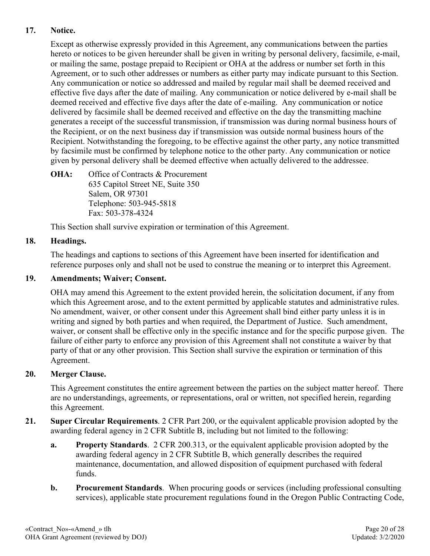# **17. Notice.**

Except as otherwise expressly provided in this Agreement, any communications between the parties hereto or notices to be given hereunder shall be given in writing by personal delivery, facsimile, e-mail, or mailing the same, postage prepaid to Recipient or OHA at the address or number set forth in this Agreement, or to such other addresses or numbers as either party may indicate pursuant to this Section. Any communication or notice so addressed and mailed by regular mail shall be deemed received and effective five days after the date of mailing. Any communication or notice delivered by e-mail shall be deemed received and effective five days after the date of e-mailing. Any communication or notice delivered by facsimile shall be deemed received and effective on the day the transmitting machine generates a receipt of the successful transmission, if transmission was during normal business hours of the Recipient, or on the next business day if transmission was outside normal business hours of the Recipient. Notwithstanding the foregoing, to be effective against the other party, any notice transmitted by facsimile must be confirmed by telephone notice to the other party. Any communication or notice given by personal delivery shall be deemed effective when actually delivered to the addressee.

**OHA:** Office of Contracts & Procurement 635 Capitol Street NE, Suite 350 Salem, OR 97301 Telephone: 503-945-5818 Fax: 503-378-4324

This Section shall survive expiration or termination of this Agreement.

# **18. Headings.**

The headings and captions to sections of this Agreement have been inserted for identification and reference purposes only and shall not be used to construe the meaning or to interpret this Agreement.

## **19. Amendments; Waiver; Consent.**

OHA may amend this Agreement to the extent provided herein, the solicitation document, if any from which this Agreement arose, and to the extent permitted by applicable statutes and administrative rules. No amendment, waiver, or other consent under this Agreement shall bind either party unless it is in writing and signed by both parties and when required, the Department of Justice. Such amendment, waiver, or consent shall be effective only in the specific instance and for the specific purpose given. The failure of either party to enforce any provision of this Agreement shall not constitute a waiver by that party of that or any other provision. This Section shall survive the expiration or termination of this Agreement.

#### **20. Merger Clause.**

This Agreement constitutes the entire agreement between the parties on the subject matter hereof. There are no understandings, agreements, or representations, oral or written, not specified herein, regarding this Agreement.

- **21. Super Circular Requirements**. 2 CFR Part 200, or the equivalent applicable provision adopted by the awarding federal agency in 2 CFR Subtitle B, including but not limited to the following:
	- **a. Property Standards**. 2 CFR 200.313, or the equivalent applicable provision adopted by the awarding federal agency in 2 CFR Subtitle B, which generally describes the required maintenance, documentation, and allowed disposition of equipment purchased with federal funds.
	- **b. Procurement Standards**. When procuring goods or services (including professional consulting services), applicable state procurement regulations found in the Oregon Public Contracting Code,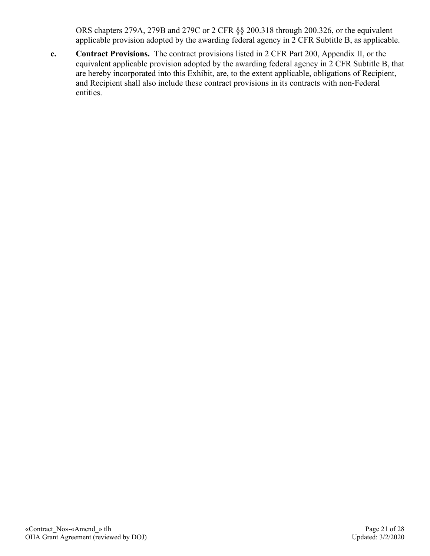ORS chapters 279A, 279B and 279C or 2 CFR §§ 200.318 through 200.326, or the equivalent applicable provision adopted by the awarding federal agency in 2 CFR Subtitle B, as applicable.

**c. Contract Provisions.** The contract provisions listed in 2 CFR Part 200, Appendix II, or the equivalent applicable provision adopted by the awarding federal agency in 2 CFR Subtitle B, that are hereby incorporated into this Exhibit, are, to the extent applicable, obligations of Recipient, and Recipient shall also include these contract provisions in its contracts with non-Federal entities.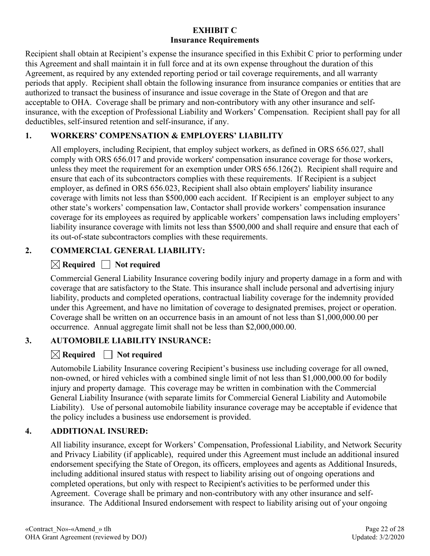# **EXHIBIT C Insurance Requirements**

Recipient shall obtain at Recipient's expense the insurance specified in this Exhibit C prior to performing under this Agreement and shall maintain it in full force and at its own expense throughout the duration of this Agreement, as required by any extended reporting period or tail coverage requirements, and all warranty periods that apply. Recipient shall obtain the following insurance from insurance companies or entities that are authorized to transact the business of insurance and issue coverage in the State of Oregon and that are acceptable to OHA. Coverage shall be primary and non-contributory with any other insurance and selfinsurance, with the exception of Professional Liability and Workers' Compensation. Recipient shall pay for all deductibles, self-insured retention and self-insurance, if any.

# **1. WORKERS' COMPENSATION & EMPLOYERS' LIABILITY**

All employers, including Recipient, that employ subject workers, as defined in ORS 656.027, shall comply with ORS 656.017 and provide workers' compensation insurance coverage for those workers, unless they meet the requirement for an exemption under ORS 656.126(2). Recipient shall require and ensure that each of its subcontractors complies with these requirements. If Recipient is a subject employer, as defined in ORS 656.023, Recipient shall also obtain employers' liability insurance coverage with limits not less than \$500,000 each accident. If Recipient is an employer subject to any other state's workers' compensation law, Contactor shall provide workers' compensation insurance coverage for its employees as required by applicable workers' compensation laws including employers' liability insurance coverage with limits not less than \$500,000 and shall require and ensure that each of its out-of-state subcontractors complies with these requirements.

# **2. COMMERCIAL GENERAL LIABILITY:**

# $\boxtimes$  Required  $\Box$  Not required

Commercial General Liability Insurance covering bodily injury and property damage in a form and with coverage that are satisfactory to the State. This insurance shall include personal and advertising injury liability, products and completed operations, contractual liability coverage for the indemnity provided under this Agreement, and have no limitation of coverage to designated premises, project or operation. Coverage shall be written on an occurrence basis in an amount of not less than \$1,000,000.00 per occurrence. Annual aggregate limit shall not be less than \$2,000,000.00.

# **3. AUTOMOBILE LIABILITY INSURANCE:**

# $\boxtimes$  Required  $\Box$  Not required

Automobile Liability Insurance covering Recipient's business use including coverage for all owned, non-owned, or hired vehicles with a combined single limit of not less than \$1,000,000.00 for bodily injury and property damage. This coverage may be written in combination with the Commercial General Liability Insurance (with separate limits for Commercial General Liability and Automobile Liability). Use of personal automobile liability insurance coverage may be acceptable if evidence that the policy includes a business use endorsement is provided.

# **4. ADDITIONAL INSURED:**

All liability insurance, except for Workers' Compensation, Professional Liability, and Network Security and Privacy Liability (if applicable), required under this Agreement must include an additional insured endorsement specifying the State of Oregon, its officers, employees and agents as Additional Insureds, including additional insured status with respect to liability arising out of ongoing operations and completed operations, but only with respect to Recipient's activities to be performed under this Agreement. Coverage shall be primary and non-contributory with any other insurance and selfinsurance. The Additional Insured endorsement with respect to liability arising out of your ongoing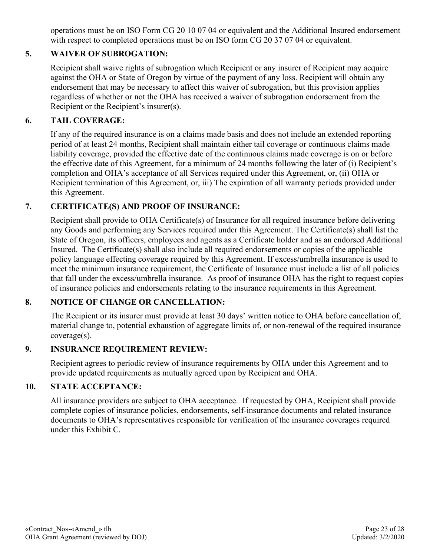operations must be on ISO Form CG 20 10 07 04 or equivalent and the Additional Insured endorsement with respect to completed operations must be on ISO form CG 20 37 07 04 or equivalent.

# **5. WAIVER OF SUBROGATION:**

Recipient shall waive rights of subrogation which Recipient or any insurer of Recipient may acquire against the OHA or State of Oregon by virtue of the payment of any loss. Recipient will obtain any endorsement that may be necessary to affect this waiver of subrogation, but this provision applies regardless of whether or not the OHA has received a waiver of subrogation endorsement from the Recipient or the Recipient's insurer(s).

# **6. TAIL COVERAGE:**

If any of the required insurance is on a claims made basis and does not include an extended reporting period of at least 24 months, Recipient shall maintain either tail coverage or continuous claims made liability coverage, provided the effective date of the continuous claims made coverage is on or before the effective date of this Agreement, for a minimum of 24 months following the later of (i) Recipient's completion and OHA's acceptance of all Services required under this Agreement, or, (ii) OHA or Recipient termination of this Agreement, or, iii) The expiration of all warranty periods provided under this Agreement.

# **7. CERTIFICATE(S) AND PROOF OF INSURANCE:**

Recipient shall provide to OHA Certificate(s) of Insurance for all required insurance before delivering any Goods and performing any Services required under this Agreement. The Certificate(s) shall list the State of Oregon, its officers, employees and agents as a Certificate holder and as an endorsed Additional Insured. The Certificate(s) shall also include all required endorsements or copies of the applicable policy language effecting coverage required by this Agreement. If excess/umbrella insurance is used to meet the minimum insurance requirement, the Certificate of Insurance must include a list of all policies that fall under the excess/umbrella insurance. As proof of insurance OHA has the right to request copies of insurance policies and endorsements relating to the insurance requirements in this Agreement.

#### **8. NOTICE OF CHANGE OR CANCELLATION:**

The Recipient or its insurer must provide at least 30 days' written notice to OHA before cancellation of, material change to, potential exhaustion of aggregate limits of, or non-renewal of the required insurance coverage(s).

#### **9. INSURANCE REQUIREMENT REVIEW:**

Recipient agrees to periodic review of insurance requirements by OHA under this Agreement and to provide updated requirements as mutually agreed upon by Recipient and OHA.

#### **10. STATE ACCEPTANCE:**

All insurance providers are subject to OHA acceptance. If requested by OHA, Recipient shall provide complete copies of insurance policies, endorsements, self-insurance documents and related insurance documents to OHA's representatives responsible for verification of the insurance coverages required under this Exhibit C.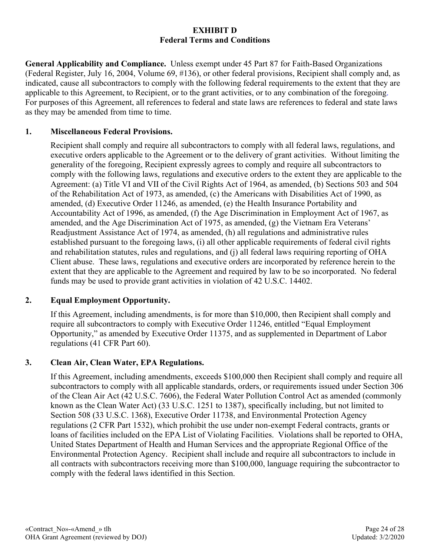#### **EXHIBIT D Federal Terms and Conditions**

**General Applicability and Compliance.** Unless exempt under 45 Part 87 for Faith-Based Organizations (Federal Register, July 16, 2004, Volume 69, #136), or other federal provisions, Recipient shall comply and, as indicated, cause all subcontractors to comply with the following federal requirements to the extent that they are applicable to this Agreement, to Recipient, or to the grant activities, or to any combination of the foregoing. For purposes of this Agreement, all references to federal and state laws are references to federal and state laws as they may be amended from time to time.

## **1. Miscellaneous Federal Provisions.**

Recipient shall comply and require all subcontractors to comply with all federal laws, regulations, and executive orders applicable to the Agreement or to the delivery of grant activities. Without limiting the generality of the foregoing, Recipient expressly agrees to comply and require all subcontractors to comply with the following laws, regulations and executive orders to the extent they are applicable to the Agreement: (a) Title VI and VII of the Civil Rights Act of 1964, as amended, (b) Sections 503 and 504 of the Rehabilitation Act of 1973, as amended, (c) the Americans with Disabilities Act of 1990, as amended, (d) Executive Order 11246, as amended, (e) the Health Insurance Portability and Accountability Act of 1996, as amended, (f) the Age Discrimination in Employment Act of 1967, as amended, and the Age Discrimination Act of 1975, as amended, (g) the Vietnam Era Veterans' Readjustment Assistance Act of 1974, as amended, (h) all regulations and administrative rules established pursuant to the foregoing laws, (i) all other applicable requirements of federal civil rights and rehabilitation statutes, rules and regulations, and (j) all federal laws requiring reporting of OHA Client abuse. These laws, regulations and executive orders are incorporated by reference herein to the extent that they are applicable to the Agreement and required by law to be so incorporated. No federal funds may be used to provide grant activities in violation of 42 U.S.C. 14402.

#### **2. Equal Employment Opportunity.**

If this Agreement, including amendments, is for more than \$10,000, then Recipient shall comply and require all subcontractors to comply with Executive Order 11246, entitled "Equal Employment Opportunity," as amended by Executive Order 11375, and as supplemented in Department of Labor regulations (41 CFR Part 60).

#### **3. Clean Air, Clean Water, EPA Regulations.**

If this Agreement, including amendments, exceeds \$100,000 then Recipient shall comply and require all subcontractors to comply with all applicable standards, orders, or requirements issued under Section 306 of the Clean Air Act (42 U.S.C. 7606), the Federal Water Pollution Control Act as amended (commonly known as the Clean Water Act) (33 U.S.C. 1251 to 1387), specifically including, but not limited to Section 508 (33 U.S.C. 1368), Executive Order 11738, and Environmental Protection Agency regulations (2 CFR Part 1532), which prohibit the use under non-exempt Federal contracts, grants or loans of facilities included on the EPA List of Violating Facilities. Violations shall be reported to OHA, United States Department of Health and Human Services and the appropriate Regional Office of the Environmental Protection Agency. Recipient shall include and require all subcontractors to include in all contracts with subcontractors receiving more than \$100,000, language requiring the subcontractor to comply with the federal laws identified in this Section.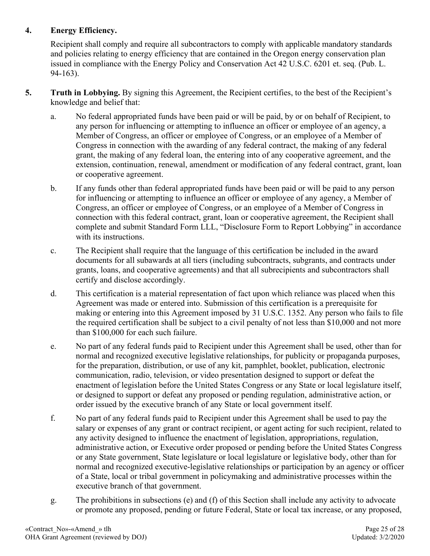# **4. Energy Efficiency.**

Recipient shall comply and require all subcontractors to comply with applicable mandatory standards and policies relating to energy efficiency that are contained in the Oregon energy conservation plan issued in compliance with the Energy Policy and Conservation Act 42 U.S.C. 6201 et. seq. (Pub. L. 94-163).

- **5. Truth in Lobbying.** By signing this Agreement, the Recipient certifies, to the best of the Recipient's knowledge and belief that:
	- a. No federal appropriated funds have been paid or will be paid, by or on behalf of Recipient, to any person for influencing or attempting to influence an officer or employee of an agency, a Member of Congress, an officer or employee of Congress, or an employee of a Member of Congress in connection with the awarding of any federal contract, the making of any federal grant, the making of any federal loan, the entering into of any cooperative agreement, and the extension, continuation, renewal, amendment or modification of any federal contract, grant, loan or cooperative agreement.
	- b. If any funds other than federal appropriated funds have been paid or will be paid to any person for influencing or attempting to influence an officer or employee of any agency, a Member of Congress, an officer or employee of Congress, or an employee of a Member of Congress in connection with this federal contract, grant, loan or cooperative agreement, the Recipient shall complete and submit Standard Form LLL, "Disclosure Form to Report Lobbying" in accordance with its instructions.
	- c. The Recipient shall require that the language of this certification be included in the award documents for all subawards at all tiers (including subcontracts, subgrants, and contracts under grants, loans, and cooperative agreements) and that all subrecipients and subcontractors shall certify and disclose accordingly.
	- d. This certification is a material representation of fact upon which reliance was placed when this Agreement was made or entered into. Submission of this certification is a prerequisite for making or entering into this Agreement imposed by 31 U.S.C. 1352. Any person who fails to file the required certification shall be subject to a civil penalty of not less than \$10,000 and not more than \$100,000 for each such failure.
	- e. No part of any federal funds paid to Recipient under this Agreement shall be used, other than for normal and recognized executive legislative relationships, for publicity or propaganda purposes, for the preparation, distribution, or use of any kit, pamphlet, booklet, publication, electronic communication, radio, television, or video presentation designed to support or defeat the enactment of legislation before the United States Congress or any State or local legislature itself, or designed to support or defeat any proposed or pending regulation, administrative action, or order issued by the executive branch of any State or local government itself.
	- f. No part of any federal funds paid to Recipient under this Agreement shall be used to pay the salary or expenses of any grant or contract recipient, or agent acting for such recipient, related to any activity designed to influence the enactment of legislation, appropriations, regulation, administrative action, or Executive order proposed or pending before the United States Congress or any State government, State legislature or local legislature or legislative body, other than for normal and recognized executive-legislative relationships or participation by an agency or officer of a State, local or tribal government in policymaking and administrative processes within the executive branch of that government.
	- g. The prohibitions in subsections (e) and (f) of this Section shall include any activity to advocate or promote any proposed, pending or future Federal, State or local tax increase, or any proposed,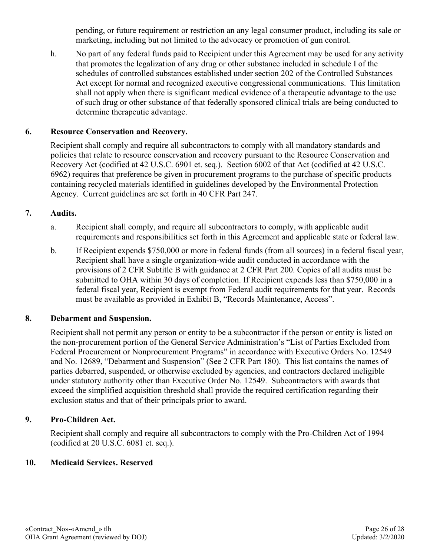pending, or future requirement or restriction an any legal consumer product, including its sale or marketing, including but not limited to the advocacy or promotion of gun control.

h. No part of any federal funds paid to Recipient under this Agreement may be used for any activity that promotes the legalization of any drug or other substance included in schedule I of the schedules of controlled substances established under section 202 of the Controlled Substances Act except for normal and recognized executive congressional communications. This limitation shall not apply when there is significant medical evidence of a therapeutic advantage to the use of such drug or other substance of that federally sponsored clinical trials are being conducted to determine therapeutic advantage.

## **6. Resource Conservation and Recovery.**

Recipient shall comply and require all subcontractors to comply with all mandatory standards and policies that relate to resource conservation and recovery pursuant to the Resource Conservation and Recovery Act (codified at 42 U.S.C. 6901 et. seq.). Section 6002 of that Act (codified at 42 U.S.C. 6962) requires that preference be given in procurement programs to the purchase of specific products containing recycled materials identified in guidelines developed by the Environmental Protection Agency. Current guidelines are set forth in 40 CFR Part 247.

## **7. Audits.**

- a. Recipient shall comply, and require all subcontractors to comply, with applicable audit requirements and responsibilities set forth in this Agreement and applicable state or federal law.
- b. If Recipient expends \$750,000 or more in federal funds (from all sources) in a federal fiscal year, Recipient shall have a single organization-wide audit conducted in accordance with the provisions of 2 CFR Subtitle B with guidance at 2 CFR Part 200. Copies of all audits must be submitted to OHA within 30 days of completion. If Recipient expends less than \$750,000 in a federal fiscal year, Recipient is exempt from Federal audit requirements for that year. Records must be available as provided in Exhibit B, "Records Maintenance, Access".

#### **8. Debarment and Suspension.**

Recipient shall not permit any person or entity to be a subcontractor if the person or entity is listed on the non-procurement portion of the General Service Administration's "List of Parties Excluded from Federal Procurement or Nonprocurement Programs" in accordance with Executive Orders No. 12549 and No. 12689, "Debarment and Suspension" (See 2 CFR Part 180). This list contains the names of parties debarred, suspended, or otherwise excluded by agencies, and contractors declared ineligible under statutory authority other than Executive Order No. 12549. Subcontractors with awards that exceed the simplified acquisition threshold shall provide the required certification regarding their exclusion status and that of their principals prior to award.

#### **9. Pro-Children Act.**

Recipient shall comply and require all subcontractors to comply with the Pro-Children Act of 1994 (codified at 20 U.S.C. 6081 et. seq.).

#### **10. Medicaid Services. Reserved**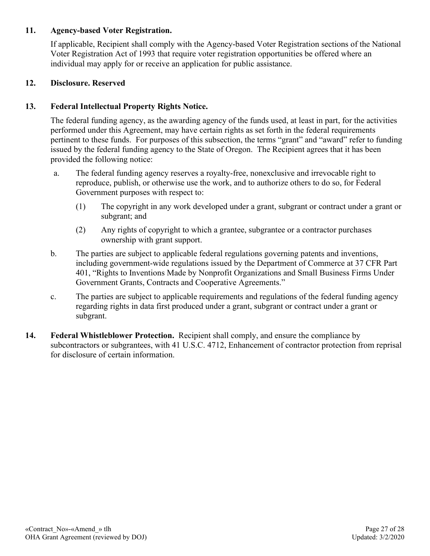### **11. Agency-based Voter Registration.**

If applicable, Recipient shall comply with the Agency-based Voter Registration sections of the National Voter Registration Act of 1993 that require voter registration opportunities be offered where an individual may apply for or receive an application for public assistance.

#### **12. Disclosure. Reserved**

## **13. Federal Intellectual Property Rights Notice.**

The federal funding agency, as the awarding agency of the funds used, at least in part, for the activities performed under this Agreement, may have certain rights as set forth in the federal requirements pertinent to these funds. For purposes of this subsection, the terms "grant" and "award" refer to funding issued by the federal funding agency to the State of Oregon. The Recipient agrees that it has been provided the following notice:

- a. The federal funding agency reserves a royalty-free, nonexclusive and irrevocable right to reproduce, publish, or otherwise use the work, and to authorize others to do so, for Federal Government purposes with respect to:
	- (1) The copyright in any work developed under a grant, subgrant or contract under a grant or subgrant; and
	- (2) Any rights of copyright to which a grantee, subgrantee or a contractor purchases ownership with grant support.
- b. The parties are subject to applicable federal regulations governing patents and inventions, including government-wide regulations issued by the Department of Commerce at 37 CFR Part 401, "Rights to Inventions Made by Nonprofit Organizations and Small Business Firms Under Government Grants, Contracts and Cooperative Agreements."
- c. The parties are subject to applicable requirements and regulations of the federal funding agency regarding rights in data first produced under a grant, subgrant or contract under a grant or subgrant.
- **14. Federal Whistleblower Protection.** Recipient shall comply, and ensure the compliance by subcontractors or subgrantees, with 41 U.S.C. 4712, Enhancement of contractor protection from reprisal for disclosure of certain information.